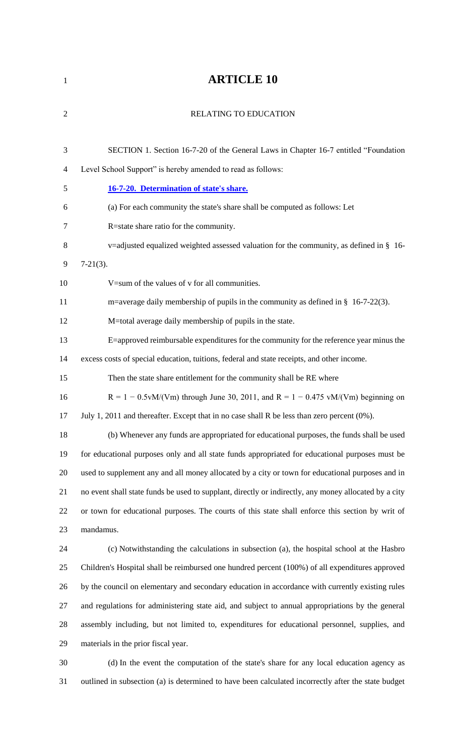## **ARTICLE 10**

| $\overline{2}$ | <b>RELATING TO EDUCATION</b>                                                                          |
|----------------|-------------------------------------------------------------------------------------------------------|
|                |                                                                                                       |
| 3              | SECTION 1. Section 16-7-20 of the General Laws in Chapter 16-7 entitled "Foundation"                  |
| 4              | Level School Support" is hereby amended to read as follows:                                           |
| 5              | 16-7-20. Determination of state's share.                                                              |
| 6              | (a) For each community the state's share shall be computed as follows: Let                            |
| 7              | R=state share ratio for the community.                                                                |
| 8              | v=adjusted equalized weighted assessed valuation for the community, as defined in $\S$ 16-            |
| 9              | $7-21(3)$ .                                                                                           |
| 10             | V=sum of the values of v for all communities.                                                         |
| 11             | m=average daily membership of pupils in the community as defined in § 16-7-22(3).                     |
| 12             | M=total average daily membership of pupils in the state.                                              |
| 13             | E=approved reimbursable expenditures for the community for the reference year minus the               |
| 14             | excess costs of special education, tuitions, federal and state receipts, and other income.            |
| 15             | Then the state share entitlement for the community shall be RE where                                  |
| 16             | $R = 1 - 0.5vM/(Vm)$ through June 30, 2011, and $R = 1 - 0.475 vM/(Vm)$ beginning on                  |
| 17             | July 1, 2011 and thereafter. Except that in no case shall R be less than zero percent (0%).           |
| 18             | (b) Whenever any funds are appropriated for educational purposes, the funds shall be used             |
| 19             | for educational purposes only and all state funds appropriated for educational purposes must be       |
| 20             | used to supplement any and all money allocated by a city or town for educational purposes and in      |
| 21             | no event shall state funds be used to supplant, directly or indirectly, any money allocated by a city |
| 22             | or town for educational purposes. The courts of this state shall enforce this section by writ of      |
| 23             | mandamus.                                                                                             |
| 24             | (c) Notwithstanding the calculations in subsection (a), the hospital school at the Hasbro             |
| 25             | Children's Hospital shall be reimbursed one hundred percent (100%) of all expenditures approved       |
| 26             | by the council on elementary and secondary education in accordance with currently existing rules      |
| 27             | and regulations for administering state aid, and subject to annual appropriations by the general      |
| 28             | assembly including, but not limited to, expenditures for educational personnel, supplies, and         |
| 29             | materials in the prior fiscal year.                                                                   |
| 30             | (d) In the event the computation of the state's share for any local education agency as               |
|                |                                                                                                       |

outlined in subsection (a) is determined to have been calculated incorrectly after the state budget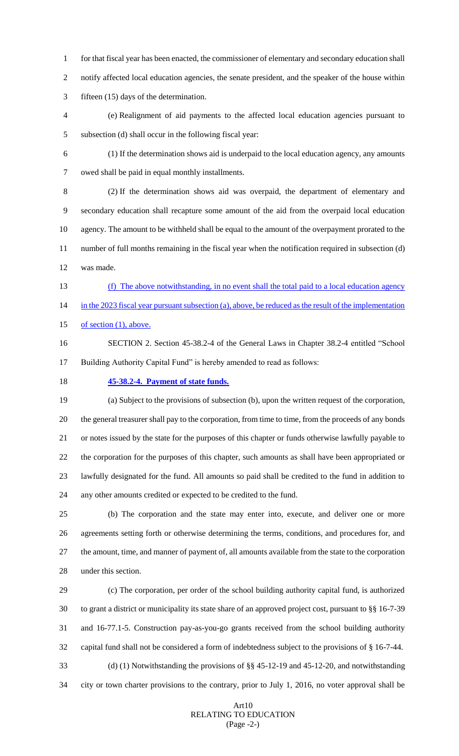for that fiscal year has been enacted, the commissioner of elementary and secondary education shall notify affected local education agencies, the senate president, and the speaker of the house within fifteen (15) days of the determination.

 (e) Realignment of aid payments to the affected local education agencies pursuant to subsection (d) shall occur in the following fiscal year:

 (1) If the determination shows aid is underpaid to the local education agency, any amounts owed shall be paid in equal monthly installments.

 (2) If the determination shows aid was overpaid, the department of elementary and secondary education shall recapture some amount of the aid from the overpaid local education agency. The amount to be withheld shall be equal to the amount of the overpayment prorated to the number of full months remaining in the fiscal year when the notification required in subsection (d) was made.

 (f) The above notwithstanding, in no event shall the total paid to a local education agency 14 in the 2023 fiscal year pursuant subsection (a), above, be reduced as the result of the implementation 15 of section (1), above.

 SECTION 2. Section 45-38.2-4 of the General Laws in Chapter 38.2-4 entitled "School Building Authority Capital Fund" is hereby amended to read as follows:

**45-38.2-4. Payment of state funds.** 

 (a) Subject to the provisions of subsection (b), upon the written request of the corporation, the general treasurer shall pay to the corporation, from time to time, from the proceeds of any bonds or notes issued by the state for the purposes of this chapter or funds otherwise lawfully payable to the corporation for the purposes of this chapter, such amounts as shall have been appropriated or lawfully designated for the fund. All amounts so paid shall be credited to the fund in addition to any other amounts credited or expected to be credited to the fund.

 (b) The corporation and the state may enter into, execute, and deliver one or more agreements setting forth or otherwise determining the terms, conditions, and procedures for, and the amount, time, and manner of payment of, all amounts available from the state to the corporation under this section.

 (c) The corporation, per order of the school building authority capital fund, is authorized to grant a district or municipality its state share of an approved project cost, pursuant to §§ 16-7-39 and 16-77.1-5. Construction pay-as-you-go grants received from the school building authority capital fund shall not be considered a form of indebtedness subject to the provisions of § 16-7-44. (d) (1) Notwithstanding the provisions of §§ 45-12-19 and 45-12-20, and notwithstanding city or town charter provisions to the contrary, prior to July 1, 2016, no voter approval shall be

## ArtRELATING TO EDUCATION (Page -2-)